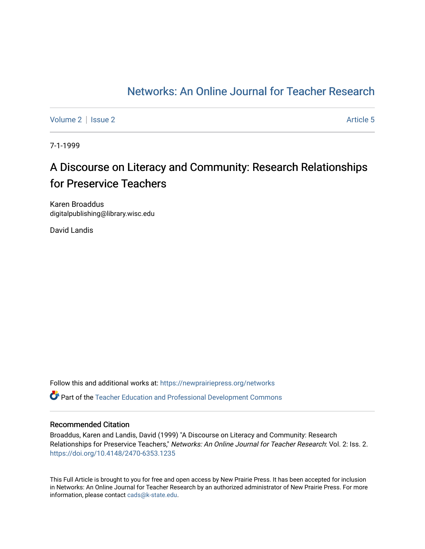## [Networks: An Online Journal for Teacher Research](https://newprairiepress.org/networks)

[Volume 2](https://newprairiepress.org/networks/vol2) | [Issue 2](https://newprairiepress.org/networks/vol2/iss2) Article 5

7-1-1999

# A Discourse on Literacy and Community: Research Relationships for Preservice Teachers

Karen Broaddus digitalpublishing@library.wisc.edu

David Landis

Follow this and additional works at: [https://newprairiepress.org/networks](https://newprairiepress.org/networks?utm_source=newprairiepress.org%2Fnetworks%2Fvol2%2Fiss2%2F5&utm_medium=PDF&utm_campaign=PDFCoverPages) Part of the [Teacher Education and Professional Development Commons](http://network.bepress.com/hgg/discipline/803?utm_source=newprairiepress.org%2Fnetworks%2Fvol2%2Fiss2%2F5&utm_medium=PDF&utm_campaign=PDFCoverPages) 

#### Recommended Citation

Broaddus, Karen and Landis, David (1999) "A Discourse on Literacy and Community: Research Relationships for Preservice Teachers," Networks: An Online Journal for Teacher Research: Vol. 2: Iss. 2. <https://doi.org/10.4148/2470-6353.1235>

This Full Article is brought to you for free and open access by New Prairie Press. It has been accepted for inclusion in Networks: An Online Journal for Teacher Research by an authorized administrator of New Prairie Press. For more information, please contact [cads@k-state.edu](mailto:cads@k-state.edu).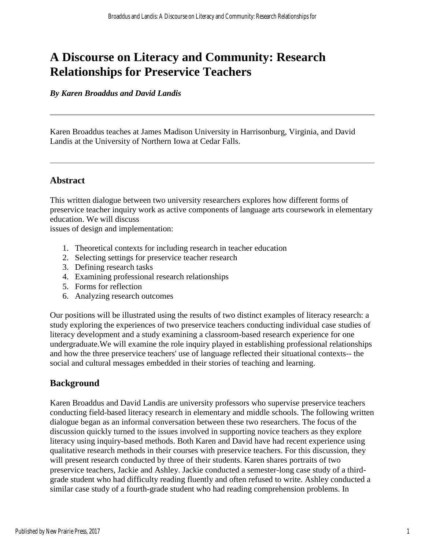# **A Discourse on Literacy and Community: Research Relationships for Preservice Teachers**

#### *By Karen Broaddus and David Landis*

Karen Broaddus teaches at James Madison University in Harrisonburg, Virginia, and David Landis at the University of Northern Iowa at Cedar Falls.

#### **Abstract**

This written dialogue between two university researchers explores how different forms of preservice teacher inquiry work as active components of language arts coursework in elementary education. We will discuss

issues of design and implementation:

- 1. Theoretical contexts for including research in teacher education
- 2. Selecting settings for preservice teacher research
- 3. Defining research tasks
- 4. Examining professional research relationships
- 5. Forms for reflection
- 6. Analyzing research outcomes

Our positions will be illustrated using the results of two distinct examples of literacy research: a study exploring the experiences of two preservice teachers conducting individual case studies of literacy development and a study examining a classroom-based research experience for one undergraduate.We will examine the role inquiry played in establishing professional relationships and how the three preservice teachers' use of language reflected their situational contexts-- the social and cultural messages embedded in their stories of teaching and learning.

#### **Background**

Karen Broaddus and David Landis are university professors who supervise preservice teachers conducting field-based literacy research in elementary and middle schools. The following written dialogue began as an informal conversation between these two researchers. The focus of the discussion quickly turned to the issues involved in supporting novice teachers as they explore literacy using inquiry-based methods. Both Karen and David have had recent experience using qualitative research methods in their courses with preservice teachers. For this discussion, they will present research conducted by three of their students. Karen shares portraits of two preservice teachers, Jackie and Ashley. Jackie conducted a semester-long case study of a thirdgrade student who had difficulty reading fluently and often refused to write. Ashley conducted a similar case study of a fourth-grade student who had reading comprehension problems. In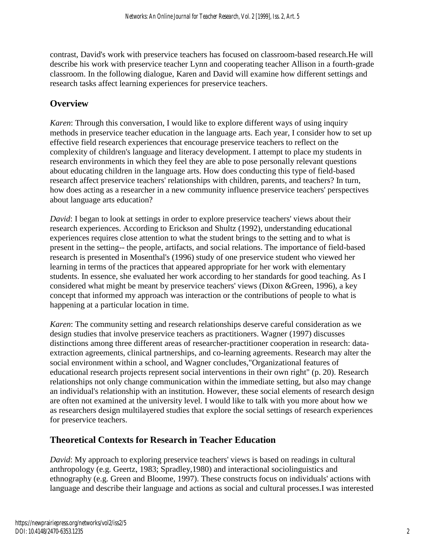contrast, David's work with preservice teachers has focused on classroom-based research.He will describe his work with preservice teacher Lynn and cooperating teacher Allison in a fourth-grade classroom. In the following dialogue, Karen and David will examine how different settings and research tasks affect learning experiences for preservice teachers.

## **Overview**

*Karen*: Through this conversation, I would like to explore different ways of using inquiry methods in preservice teacher education in the language arts. Each year, I consider how to set up effective field research experiences that encourage preservice teachers to reflect on the complexity of children's language and literacy development. I attempt to place my students in research environments in which they feel they are able to pose personally relevant questions about educating children in the language arts. How does conducting this type of field-based research affect preservice teachers' relationships with children, parents, and teachers? In turn, how does acting as a researcher in a new community influence preservice teachers' perspectives about language arts education?

*David*: I began to look at settings in order to explore preservice teachers' views about their research experiences. According to Erickson and Shultz (1992), understanding educational experiences requires close attention to what the student brings to the setting and to what is present in the setting-- the people, artifacts, and social relations. The importance of field-based research is presented in Mosenthal's (1996) study of one preservice student who viewed her learning in terms of the practices that appeared appropriate for her work with elementary students. In essence, she evaluated her work according to her standards for good teaching. As I considered what might be meant by preservice teachers' views (Dixon &Green, 1996), a key concept that informed my approach was interaction or the contributions of people to what is happening at a particular location in time.

*Karen*: The community setting and research relationships deserve careful consideration as we design studies that involve preservice teachers as practitioners. Wagner (1997) discusses distinctions among three different areas of researcher-practitioner cooperation in research: dataextraction agreements, clinical partnerships, and co-learning agreements. Research may alter the social environment within a school, and Wagner concludes,"Organizational features of educational research projects represent social interventions in their own right" (p. 20). Research relationships not only change communication within the immediate setting, but also may change an individual's relationship with an institution. However, these social elements of research design are often not examined at the university level. I would like to talk with you more about how we as researchers design multilayered studies that explore the social settings of research experiences for preservice teachers.

## **Theoretical Contexts for Research in Teacher Education**

*David*: My approach to exploring preservice teachers' views is based on readings in cultural anthropology (e.g. Geertz, 1983; Spradley,1980) and interactional sociolinguistics and ethnography (e.g. Green and Bloome, 1997). These constructs focus on individuals' actions with language and describe their language and actions as social and cultural processes.I was interested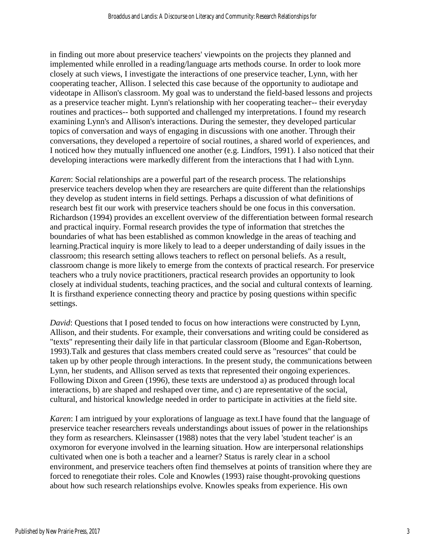in finding out more about preservice teachers' viewpoints on the projects they planned and implemented while enrolled in a reading/language arts methods course. In order to look more closely at such views, I investigate the interactions of one preservice teacher, Lynn, with her cooperating teacher, Allison. I selected this case because of the opportunity to audiotape and videotape in Allison's classroom. My goal was to understand the field-based lessons and projects as a preservice teacher might. Lynn's relationship with her cooperating teacher-- their everyday routines and practices-- both supported and challenged my interpretations. I found my research examining Lynn's and Allison's interactions. During the semester, they developed particular topics of conversation and ways of engaging in discussions with one another. Through their conversations, they developed a repertoire of social routines, a shared world of experiences, and I noticed how they mutually influenced one another (e.g. Lindfors, 1991). I also noticed that their developing interactions were markedly different from the interactions that I had with Lynn.

*Karen*: Social relationships are a powerful part of the research process. The relationships preservice teachers develop when they are researchers are quite different than the relationships they develop as student interns in field settings. Perhaps a discussion of what definitions of research best fit our work with preservice teachers should be one focus in this conversation. Richardson (1994) provides an excellent overview of the differentiation between formal research and practical inquiry. Formal research provides the type of information that stretches the boundaries of what has been established as common knowledge in the areas of teaching and learning.Practical inquiry is more likely to lead to a deeper understanding of daily issues in the classroom; this research setting allows teachers to reflect on personal beliefs. As a result, classroom change is more likely to emerge from the contexts of practical research. For preservice teachers who a truly novice practitioners, practical research provides an opportunity to look closely at individual students, teaching practices, and the social and cultural contexts of learning. It is firsthand experience connecting theory and practice by posing questions within specific settings.

*David*: Questions that I posed tended to focus on how interactions were constructed by Lynn, Allison, and their students. For example, their conversations and writing could be considered as "texts" representing their daily life in that particular classroom (Bloome and Egan-Robertson, 1993).Talk and gestures that class members created could serve as "resources" that could be taken up by other people through interactions. In the present study, the communications between Lynn, her students, and Allison served as texts that represented their ongoing experiences. Following Dixon and Green (1996), these texts are understood a) as produced through local interactions, b) are shaped and reshaped over time, and c) are representative of the social, cultural, and historical knowledge needed in order to participate in activities at the field site.

*Karen*: I am intrigued by your explorations of language as text.I have found that the language of preservice teacher researchers reveals understandings about issues of power in the relationships they form as researchers. Kleinsasser (1988) notes that the very label 'student teacher' is an oxymoron for everyone involved in the learning situation. How are interpersonal relationships cultivated when one is both a teacher and a learner? Status is rarely clear in a school environment, and preservice teachers often find themselves at points of transition where they are forced to renegotiate their roles. Cole and Knowles (1993) raise thought-provoking questions about how such research relationships evolve. Knowles speaks from experience. His own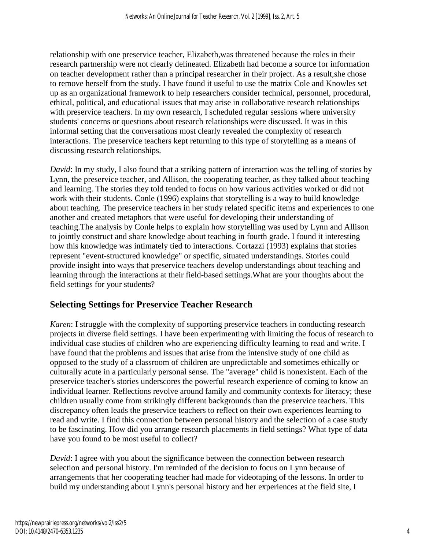relationship with one preservice teacher, Elizabeth,was threatened because the roles in their research partnership were not clearly delineated. Elizabeth had become a source for information on teacher development rather than a principal researcher in their project. As a result,she chose to remove herself from the study. I have found it useful to use the matrix Cole and Knowles set up as an organizational framework to help researchers consider technical, personnel, procedural, ethical, political, and educational issues that may arise in collaborative research relationships with preservice teachers. In my own research, I scheduled regular sessions where university students' concerns or questions about research relationships were discussed. It was in this informal setting that the conversations most clearly revealed the complexity of research interactions. The preservice teachers kept returning to this type of storytelling as a means of discussing research relationships.

*David*: In my study, I also found that a striking pattern of interaction was the telling of stories by Lynn, the preservice teacher, and Allison, the cooperating teacher, as they talked about teaching and learning. The stories they told tended to focus on how various activities worked or did not work with their students. Conle (1996) explains that storytelling is a way to build knowledge about teaching. The preservice teachers in her study related specific items and experiences to one another and created metaphors that were useful for developing their understanding of teaching.The analysis by Conle helps to explain how storytelling was used by Lynn and Allison to jointly construct and share knowledge about teaching in fourth grade. I found it interesting how this knowledge was intimately tied to interactions. Cortazzi (1993) explains that stories represent "event-structured knowledge" or specific, situated understandings. Stories could provide insight into ways that preservice teachers develop understandings about teaching and learning through the interactions at their field-based settings.What are your thoughts about the field settings for your students?

## **Selecting Settings for Preservice Teacher Research**

*Karen*: I struggle with the complexity of supporting preservice teachers in conducting research projects in diverse field settings. I have been experimenting with limiting the focus of research to individual case studies of children who are experiencing difficulty learning to read and write. I have found that the problems and issues that arise from the intensive study of one child as opposed to the study of a classroom of children are unpredictable and sometimes ethically or culturally acute in a particularly personal sense. The "average" child is nonexistent. Each of the preservice teacher's stories underscores the powerful research experience of coming to know an individual learner. Reflections revolve around family and community contexts for literacy; these children usually come from strikingly different backgrounds than the preservice teachers. This discrepancy often leads the preservice teachers to reflect on their own experiences learning to read and write. I find this connection between personal history and the selection of a case study to be fascinating. How did you arrange research placements in field settings? What type of data have you found to be most useful to collect?

*David*: I agree with you about the significance between the connection between research selection and personal history. I'm reminded of the decision to focus on Lynn because of arrangements that her cooperating teacher had made for videotaping of the lessons. In order to build my understanding about Lynn's personal history and her experiences at the field site, I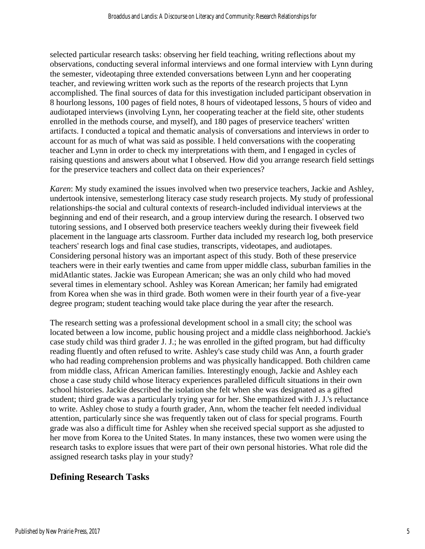selected particular research tasks: observing her field teaching, writing reflections about my observations, conducting several informal interviews and one formal interview with Lynn during the semester, videotaping three extended conversations between Lynn and her cooperating teacher, and reviewing written work such as the reports of the research projects that Lynn accomplished. The final sources of data for this investigation included participant observation in 8 hourlong lessons, 100 pages of field notes, 8 hours of videotaped lessons, 5 hours of video and audiotaped interviews (involving Lynn, her cooperating teacher at the field site, other students enrolled in the methods course, and myself), and 180 pages of preservice teachers' written artifacts. I conducted a topical and thematic analysis of conversations and interviews in order to account for as much of what was said as possible. I held conversations with the cooperating teacher and Lynn in order to check my interpretations with them, and I engaged in cycles of raising questions and answers about what I observed. How did you arrange research field settings for the preservice teachers and collect data on their experiences?

*Karen*: My study examined the issues involved when two preservice teachers, Jackie and Ashley, undertook intensive, semesterlong literacy case study research projects. My study of professional relationships-the social and cultural contexts of research-included individual interviews at the beginning and end of their research, and a group interview during the research. I observed two tutoring sessions, and I observed both preservice teachers weekly during their fiveweek field placement in the language arts classroom. Further data included my research log, both preservice teachers' research logs and final case studies, transcripts, videotapes, and audiotapes. Considering personal history was an important aspect of this study. Both of these preservice teachers were in their early twenties and came from upper middle class, suburban families in the midAtlantic states. Jackie was European American; she was an only child who had moved several times in elementary school. Ashley was Korean American; her family had emigrated from Korea when she was in third grade. Both women were in their fourth year of a five-year degree program; student teaching would take place during the year after the research.

The research setting was a professional development school in a small city; the school was located between a low income, public housing project and a middle class neighborhood. Jackie's case study child was third grader J. J.; he was enrolled in the gifted program, but had difficulty reading fluently and often refused to write. Ashley's case study child was Ann, a fourth grader who had reading comprehension problems and was physically handicapped. Both children came from middle class, African American families. Interestingly enough, Jackie and Ashley each chose a case study child whose literacy experiences paralleled difficult situations in their own school histories. Jackie described the isolation she felt when she was designated as a gifted student; third grade was a particularly trying year for her. She empathized with J. J.'s reluctance to write. Ashley chose to study a fourth grader, Ann, whom the teacher felt needed individual attention, particularly since she was frequently taken out of class for special programs. Fourth grade was also a difficult time for Ashley when she received special support as she adjusted to her move from Korea to the United States. In many instances, these two women were using the research tasks to explore issues that were part of their own personal histories. What role did the assigned research tasks play in your study?

## **Defining Research Tasks**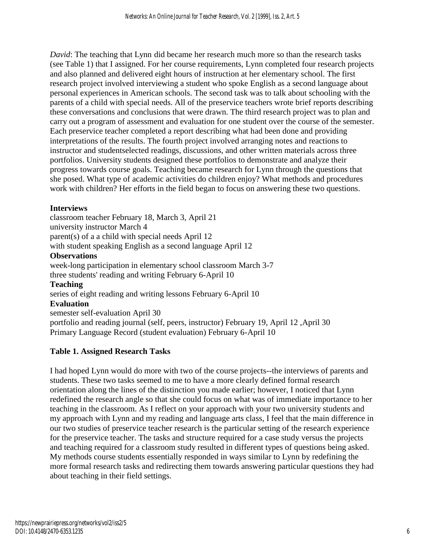*David*: The teaching that Lynn did became her research much more so than the research tasks (see Table 1) that I assigned. For her course requirements, Lynn completed four research projects and also planned and delivered eight hours of instruction at her elementary school. The first research project involved interviewing a student who spoke English as a second language about personal experiences in American schools. The second task was to talk about schooling with the parents of a child with special needs. All of the preservice teachers wrote brief reports describing these conversations and conclusions that were drawn. The third research project was to plan and carry out a program of assessment and evaluation for one student over the course of the semester. Each preservice teacher completed a report describing what had been done and providing interpretations of the results. The fourth project involved arranging notes and reactions to instructor and studentselected readings, discussions, and other written materials across three portfolios. University students designed these portfolios to demonstrate and analyze their progress towards course goals. Teaching became research for Lynn through the questions that she posed. What type of academic activities do children enjoy? What methods and procedures work with children? Her efforts in the field began to focus on answering these two questions.

#### **Interviews**

classroom teacher February 18, March 3, April 21 university instructor March 4 parent(s) of a a child with special needs April 12 with student speaking English as a second language April 12 **Observations** week-long participation in elementary school classroom March 3-7 three students' reading and writing February 6-April 10 **Teaching** series of eight reading and writing lessons February 6-April 10 **Evaluation** semester self-evaluation April 30 portfolio and reading journal (self, peers, instructor) February 19, April 12 ,April 30 Primary Language Record (student evaluation) February 6-April 10

#### **Table 1. Assigned Research Tasks**

I had hoped Lynn would do more with two of the course projects--the interviews of parents and students. These two tasks seemed to me to have a more clearly defined formal research orientation along the lines of the distinction you made earlier; however, I noticed that Lynn redefined the research angle so that she could focus on what was of immediate importance to her teaching in the classroom. As I reflect on your approach with your two university students and my approach with Lynn and my reading and language arts class, I feel that the main difference in our two studies of preservice teacher research is the particular setting of the research experience for the preservice teacher. The tasks and structure required for a case study versus the projects and teaching required for a classroom study resulted in different types of questions being asked. My methods course students essentially responded in ways similar to Lynn by redefining the more formal research tasks and redirecting them towards answering particular questions they had about teaching in their field settings.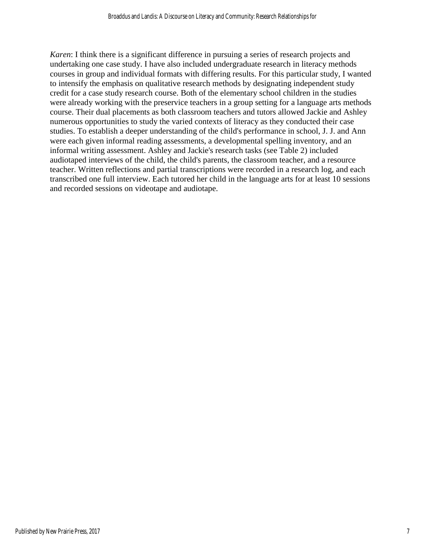*Karen*: I think there is a significant difference in pursuing a series of research projects and undertaking one case study. I have also included undergraduate research in literacy methods courses in group and individual formats with differing results. For this particular study, I wanted to intensify the emphasis on qualitative research methods by designating independent study credit for a case study research course. Both of the elementary school children in the studies were already working with the preservice teachers in a group setting for a language arts methods course. Their dual placements as both classroom teachers and tutors allowed Jackie and Ashley numerous opportunities to study the varied contexts of literacy as they conducted their case studies. To establish a deeper understanding of the child's performance in school, J. J. and Ann were each given informal reading assessments, a developmental spelling inventory, and an informal writing assessment. Ashley and Jackie's research tasks (see Table 2) included audiotaped interviews of the child, the child's parents, the classroom teacher, and a resource teacher. Written reflections and partial transcriptions were recorded in a research log, and each transcribed one full interview. Each tutored her child in the language arts for at least 10 sessions and recorded sessions on videotape and audiotape.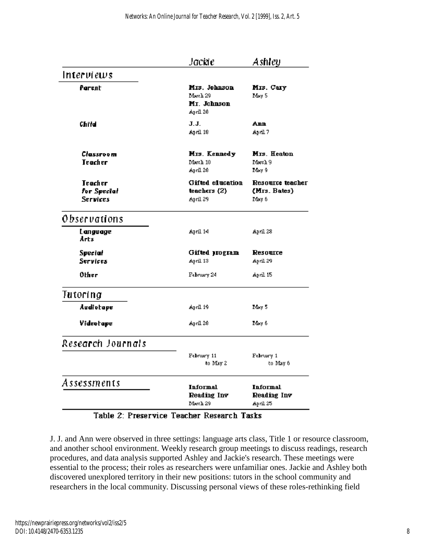|                                                     | Jackie                                              | Ashley                                     |
|-----------------------------------------------------|-----------------------------------------------------|--------------------------------------------|
| Interviews                                          |                                                     |                                            |
| Parent                                              | Mrs. Johnson<br>March 29<br>MI. Johnson<br>April 28 | Мтз. Сагу<br>May 5                         |
| Chirld                                              | J.J.<br>April 18                                    | Ann<br>April 7                             |
| Classroom<br><b>Teacher</b>                         | Mrs. Kennedy<br>March 10<br>April 28                | Mrs. Heaton<br>March 9<br>Ivisty 9         |
| Te ach e <b>r</b><br>for Special<br><b>Services</b> | Gifted education<br>teachers (2)<br>April 29        | Resource teacher<br>(Mrs. Bates)<br>May 6  |
| Observations                                        |                                                     |                                            |
| Langvage<br>Arts                                    | April 14                                            | April 28                                   |
| Special<br>Services                                 | Gifted program<br>April 13                          | Resource<br>April 29                       |
| Other                                               | February 24                                         | April 15                                   |
| Tutoring                                            |                                                     |                                            |
| Audiotape                                           | April 19                                            | May 5                                      |
| Videotape                                           | April 28                                            | May 6                                      |
| Research Journals                                   |                                                     |                                            |
|                                                     | February 11<br>to May 2                             | February 1<br>to May 6                     |
| Assessments                                         | <b>Informal</b><br>Reading Inv<br>March 29          | <b>Informal</b><br>Reading Inv<br>April 25 |

Table 2: Preservice Teacher Research Tasks

J. J. and Ann were observed in three settings: language arts class, Title 1 or resource classroom, and another school environment. Weekly research group meetings to discuss readings, research procedures, and data analysis supported Ashley and Jackie's research. These meetings were essential to the process; their roles as researchers were unfamiliar ones. Jackie and Ashley both discovered unexplored territory in their new positions: tutors in the school community and researchers in the local community. Discussing personal views of these roles-rethinking field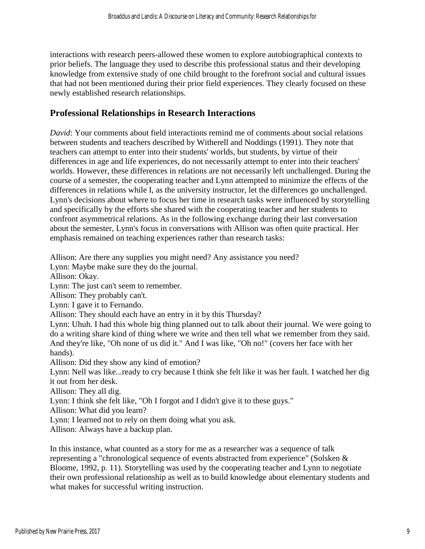interactions with research peers-allowed these women to explore autobiographical contexts to prior beliefs. The language they used to describe this professional status and their developing knowledge from extensive study of one child brought to the forefront social and cultural issues that had not been mentioned during their prior field experiences. They clearly focused on these newly established research relationships.

### **Professional Relationships in Research Interactions**

*David*: Your comments about field interactions remind me of comments about social relations between students and teachers described by Witherell and Noddings (1991). They note that teachers can attempt to enter into their students' worlds, but students, by virtue of their differences in age and life experiences, do not necessarily attempt to enter into their teachers' worlds. However, these differences in relations are not necessarily left unchallenged. During the course of a semester, the cooperating teacher and Lynn attempted to minimize the effects of the differences in relations while I, as the university instructor, let the differences go unchallenged. Lynn's decisions about where to focus her time in research tasks were influenced by storytelling and specifically by the efforts she shared with the cooperating teacher and her students to confront asymmetrical relations. As in the following exchange during their last conversation about the semester, Lynn's focus in conversations with Allison was often quite practical. Her emphasis remained on teaching experiences rather than research tasks:

Allison: Are there any supplies you might need? Any assistance you need? Lynn: Maybe make sure they do the journal. Allison: Okay. Lynn: The just can't seem to remember. Allison: They probably can't. Lynn: I gave it to Fernando. Allison: They should each have an entry in it by this Thursday? Lynn: Uhuh. I had this whole big thing planned out to talk about their journal. We were going to do a writing share kind of thing where we write and then tell what we remember from they said. And they're like, "Oh none of us did it." And I was like, "Oh no!" (covers her face with her hands). Allison: Did they show any kind of emotion? Lynn: Nell was like...ready to cry because I think she felt like it was her fault. I watched her dig it out from her desk. Allison: They all dig. Lynn: I think she felt like, "Oh I forgot and I didn't give it to these guys." Allison: What did you learn? Lynn: I learned not to rely on them doing what you ask. Allison: Always have a backup plan.

In this instance, what counted as a story for me as a researcher was a sequence of talk representing a "chronological sequence of events abstracted from experience" (Solsken & Bloome, 1992, p. 11). Storytelling was used by the cooperating teacher and Lynn to negotiate their own professional relationship as well as to build knowledge about elementary students and what makes for successful writing instruction.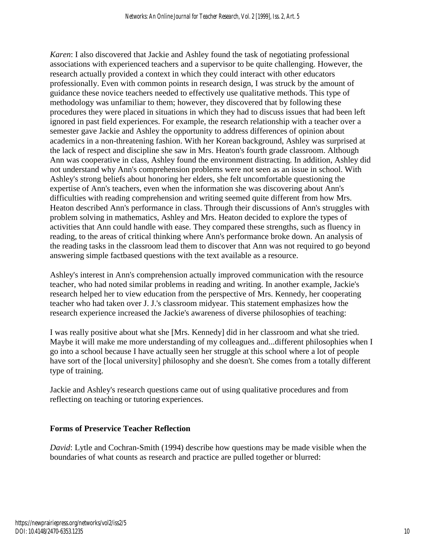*Karen*: I also discovered that Jackie and Ashley found the task of negotiating professional associations with experienced teachers and a supervisor to be quite challenging. However, the research actually provided a context in which they could interact with other educators professionally. Even with common points in research design, I was struck by the amount of guidance these novice teachers needed to effectively use qualitative methods. This type of methodology was unfamiliar to them; however, they discovered that by following these procedures they were placed in situations in which they had to discuss issues that had been left ignored in past field experiences. For example, the research relationship with a teacher over a semester gave Jackie and Ashley the opportunity to address differences of opinion about academics in a non-threatening fashion. With her Korean background, Ashley was surprised at the lack of respect and discipline she saw in Mrs. Heaton's fourth grade classroom. Although Ann was cooperative in class, Ashley found the environment distracting. In addition, Ashley did not understand why Ann's comprehension problems were not seen as an issue in school. With Ashley's strong beliefs about honoring her elders, she felt uncomfortable questioning the expertise of Ann's teachers, even when the information she was discovering about Ann's difficulties with reading comprehension and writing seemed quite different from how Mrs. Heaton described Ann's performance in class. Through their discussions of Ann's struggles with problem solving in mathematics, Ashley and Mrs. Heaton decided to explore the types of activities that Ann could handle with ease. They compared these strengths, such as fluency in reading, to the areas of critical thinking where Ann's performance broke down. An analysis of the reading tasks in the classroom lead them to discover that Ann was not required to go beyond answering simple factbased questions with the text available as a resource.

Ashley's interest in Ann's comprehension actually improved communication with the resource teacher, who had noted similar problems in reading and writing. In another example, Jackie's research helped her to view education from the perspective of Mrs. Kennedy, her cooperating teacher who had taken over J. J.'s classroom midyear. This statement emphasizes how the research experience increased the Jackie's awareness of diverse philosophies of teaching:

I was really positive about what she [Mrs. Kennedy] did in her classroom and what she tried. Maybe it will make me more understanding of my colleagues and...different philosophies when I go into a school because I have actually seen her struggle at this school where a lot of people have sort of the [local university] philosophy and she doesn't. She comes from a totally different type of training.

Jackie and Ashley's research questions came out of using qualitative procedures and from reflecting on teaching or tutoring experiences.

#### **Forms of Preservice Teacher Reflection**

*David*: Lytle and Cochran-Smith (1994) describe how questions may be made visible when the boundaries of what counts as research and practice are pulled together or blurred: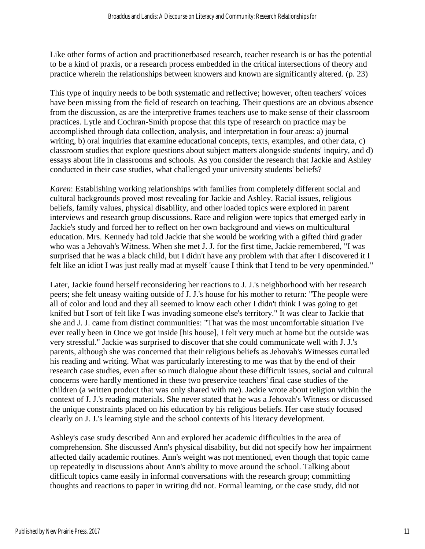Like other forms of action and practitionerbased research, teacher research is or has the potential to be a kind of praxis, or a research process embedded in the critical intersections of theory and practice wherein the relationships between knowers and known are significantly altered. (p. 23)

This type of inquiry needs to be both systematic and reflective; however, often teachers' voices have been missing from the field of research on teaching. Their questions are an obvious absence from the discussion, as are the interpretive frames teachers use to make sense of their classroom practices. Lytle and Cochran-Smith propose that this type of research on practice may be accomplished through data collection, analysis, and interpretation in four areas: a) journal writing, b) oral inquiries that examine educational concepts, texts, examples, and other data, c) classroom studies that explore questions about subject matters alongside students' inquiry, and d) essays about life in classrooms and schools. As you consider the research that Jackie and Ashley conducted in their case studies, what challenged your university students' beliefs?

*Karen*: Establishing working relationships with families from completely different social and cultural backgrounds proved most revealing for Jackie and Ashley. Racial issues, religious beliefs, family values, physical disability, and other loaded topics were explored in parent interviews and research group discussions. Race and religion were topics that emerged early in Jackie's study and forced her to reflect on her own background and views on multicultural education. Mrs. Kennedy had told Jackie that she would be working with a gifted third grader who was a Jehovah's Witness. When she met J. J. for the first time, Jackie remembered, "I was surprised that he was a black child, but I didn't have any problem with that after I discovered it I felt like an idiot I was just really mad at myself 'cause I think that I tend to be very openminded."

Later, Jackie found herself reconsidering her reactions to J. J.'s neighborhood with her research peers; she felt uneasy waiting outside of J. J.'s house for his mother to return: "The people were all of color and loud and they all seemed to know each other I didn't think I was going to get knifed but I sort of felt like I was invading someone else's territory." It was clear to Jackie that she and J. J. came from distinct communities: "That was the most uncomfortable situation I've ever really been in Once we got inside [his house], I felt very much at home but the outside was very stressful." Jackie was surprised to discover that she could communicate well with J. J.'s parents, although she was concerned that their religious beliefs as Jehovah's Witnesses curtailed his reading and writing. What was particularly interesting to me was that by the end of their research case studies, even after so much dialogue about these difficult issues, social and cultural concerns were hardly mentioned in these two preservice teachers' final case studies of the children (a written product that was only shared with me). Jackie wrote about religion within the context of J. J.'s reading materials. She never stated that he was a Jehovah's Witness or discussed the unique constraints placed on his education by his religious beliefs. Her case study focused clearly on J. J.'s learning style and the school contexts of his literacy development.

Ashley's case study described Ann and explored her academic difficulties in the area of comprehension. She discussed Ann's physical disability, but did not specify how her impairment affected daily academic routines. Ann's weight was not mentioned, even though that topic came up repeatedly in discussions about Ann's ability to move around the school. Talking about difficult topics came easily in informal conversations with the research group; committing thoughts and reactions to paper in writing did not. Formal learning, or the case study, did not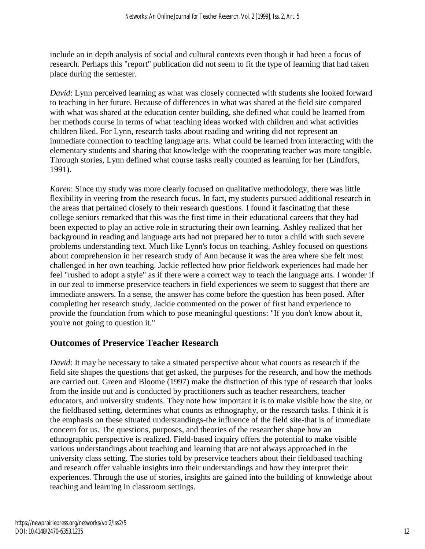include an in depth analysis of social and cultural contexts even though it had been a focus of research. Perhaps this "report" publication did not seem to fit the type of learning that had taken place during the semester.

*David*: Lynn perceived learning as what was closely connected with students she looked forward to teaching in her future. Because of differences in what was shared at the field site compared with what was shared at the education center building, she defined what could be learned from her methods course in terms of what teaching ideas worked with children and what activities children liked. For Lynn, research tasks about reading and writing did not represent an immediate connection to teaching language arts. What could be learned from interacting with the elementary students and sharing that knowledge with the cooperating teacher was more tangible. Through stories, Lynn defined what course tasks really counted as learning for her (Lindfors, 1991).

*Karen*: Since my study was more clearly focused on qualitative methodology, there was little flexibility in veering from the research focus. In fact, my students pursued additional research in the areas that pertained closely to their research questions. I found it fascinating that these college seniors remarked that this was the first time in their educational careers that they had been expected to play an active role in structuring their own learning. Ashley realized that her background in reading and language arts had not prepared her to tutor a child with such severe problems understanding text. Much like Lynn's focus on teaching, Ashley focused on questions about comprehension in her research study of Ann because it was the area where she felt most challenged in her own teaching. Jackie reflected how prior fieldwork experiences had made her feel "rushed to adopt a style" as if there were a correct way to teach the language arts. I wonder if in our zeal to immerse preservice teachers in field experiences we seem to suggest that there are immediate answers. In a sense, the answer has come before the question has been posed. After completing her research study, Jackie commented on the power of first hand experience to provide the foundation from which to pose meaningful questions: "If you don't know about it, you're not going to question it."

#### **Outcomes of Preservice Teacher Research**

*David*: It may be necessary to take a situated perspective about what counts as research if the field site shapes the questions that get asked, the purposes for the research, and how the methods are carried out. Green and Bloome (1997) make the distinction of this type of research that looks from the inside out and is conducted by practitioners such as teacher researchers, teacher educators, and university students. They note how important it is to make visible how the site, or the fieldbased setting, determines what counts as ethnography, or the research tasks. I think it is the emphasis on these situated understandings-the influence of the field site-that is of immediate concern for us. The questions, purposes, and theories of the researcher shape how an ethnographic perspective is realized. Field-based inquiry offers the potential to make visible various understandings about teaching and learning that are not always approached in the university class setting. The stories told by preservice teachers about their fieldbased teaching and research offer valuable insights into their understandings and how they interpret their experiences. Through the use of stories, insights are gained into the building of knowledge about teaching and learning in classroom settings.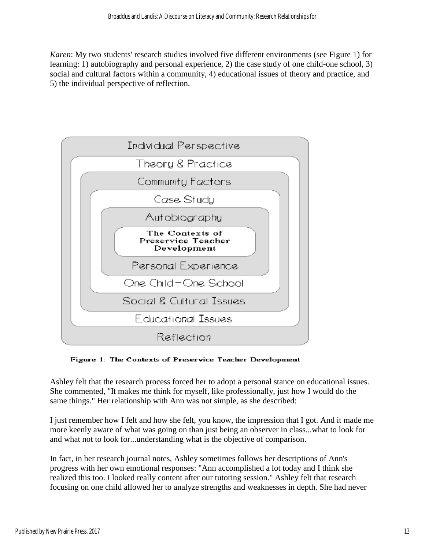*Karen*: My two students' research studies involved five different environments (see Figure 1) for learning: 1) autobiography and personal experience, 2) the case study of one child-one school, 3) social and cultural factors within a community, 4) educational issues of theory and practice, and 5) the individual perspective of reflection.



Figure 1: The Contexts of Preservice Teacher Development

Ashley felt that the research process forced her to adopt a personal stance on educational issues. She commented, "It makes me think for myself, like professionally, just how I would do the same things." Her relationship with Ann was not simple, as she described:

I just remember how I felt and how she felt, you know, the impression that I got. And it made me more keenly aware of what was going on than just being an observer in class...what to look for and what not to look for...understanding what is the objective of comparison.

In fact, in her research journal notes, Ashley sometimes follows her descriptions of Ann's progress with her own emotional responses: "Ann accomplished a lot today and I think she realized this too. I looked really content after our tutoring session." Ashley felt that research focusing on one child allowed her to analyze strengths and weaknesses in depth. She had never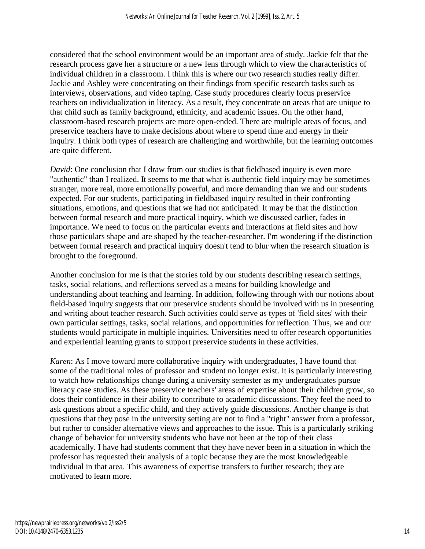considered that the school environment would be an important area of study. Jackie felt that the research process gave her a structure or a new lens through which to view the characteristics of individual children in a classroom. I think this is where our two research studies really differ. Jackie and Ashley were concentrating on their findings from specific research tasks such as interviews, observations, and video taping. Case study procedures clearly focus preservice teachers on individualization in literacy. As a result, they concentrate on areas that are unique to that child such as family background, ethnicity, and academic issues. On the other hand, classroom-based research projects are more open-ended. There are multiple areas of focus, and preservice teachers have to make decisions about where to spend time and energy in their inquiry. I think both types of research are challenging and worthwhile, but the learning outcomes are quite different.

*David*: One conclusion that I draw from our studies is that fieldbased inquiry is even more "authentic" than I realized. It seems to me that what is authentic field inquiry may be sometimes stranger, more real, more emotionally powerful, and more demanding than we and our students expected. For our students, participating in fieldbased inquiry resulted in their confronting situations, emotions, and questions that we had not anticipated. It may be that the distinction between formal research and more practical inquiry, which we discussed earlier, fades in importance. We need to focus on the particular events and interactions at field sites and how those particulars shape and are shaped by the teacher-researcher. I'm wondering if the distinction between formal research and practical inquiry doesn't tend to blur when the research situation is brought to the foreground.

Another conclusion for me is that the stories told by our students describing research settings, tasks, social relations, and reflections served as a means for building knowledge and understanding about teaching and learning. In addition, following through with our notions about field-based inquiry suggests that our preservice students should be involved with us in presenting and writing about teacher research. Such activities could serve as types of 'field sites' with their own particular settings, tasks, social relations, and opportunities for reflection. Thus, we and our students would participate in multiple inquiries. Universities need to offer research opportunities and experiential learning grants to support preservice students in these activities.

*Karen*: As I move toward more collaborative inquiry with undergraduates, I have found that some of the traditional roles of professor and student no longer exist. It is particularly interesting to watch how relationships change during a university semester as my undergraduates pursue literacy case studies. As these preservice teachers' areas of expertise about their children grow, so does their confidence in their ability to contribute to academic discussions. They feel the need to ask questions about a specific child, and they actively guide discussions. Another change is that questions that they pose in the university setting are not to find a "right" answer from a professor, but rather to consider alternative views and approaches to the issue. This is a particularly striking change of behavior for university students who have not been at the top of their class academically. I have had students comment that they have never been in a situation in which the professor has requested their analysis of a topic because they are the most knowledgeable individual in that area. This awareness of expertise transfers to further research; they are motivated to learn more.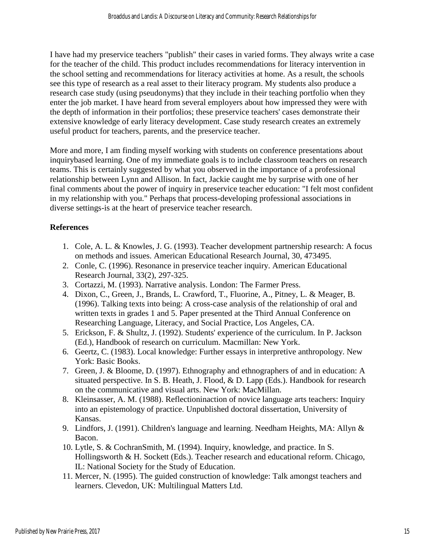I have had my preservice teachers "publish" their cases in varied forms. They always write a case for the teacher of the child. This product includes recommendations for literacy intervention in the school setting and recommendations for literacy activities at home. As a result, the schools see this type of research as a real asset to their literacy program. My students also produce a research case study (using pseudonyms) that they include in their teaching portfolio when they enter the job market. I have heard from several employers about how impressed they were with the depth of information in their portfolios; these preservice teachers' cases demonstrate their extensive knowledge of early literacy development. Case study research creates an extremely useful product for teachers, parents, and the preservice teacher.

More and more, I am finding myself working with students on conference presentations about inquirybased learning. One of my immediate goals is to include classroom teachers on research teams. This is certainly suggested by what you observed in the importance of a professional relationship between Lynn and Allison. In fact, Jackie caught me by surprise with one of her final comments about the power of inquiry in preservice teacher education: "I felt most confident in my relationship with you." Perhaps that process-developing professional associations in diverse settings-is at the heart of preservice teacher research.

#### **References**

- 1. Cole, A. L. & Knowles, J. G. (1993). Teacher development partnership research: A focus on methods and issues. American Educational Research Journal, 30, 473495.
- 2. Conle, C. (1996). Resonance in preservice teacher inquiry. American Educational Research Journal, 33(2), 297-325.
- 3. Cortazzi, M. (1993). Narrative analysis. London: The Farmer Press.
- 4. Dixon, C., Green, J., Brands, L. Crawford, T., Fluorine, A., Pitney, L. & Meager, B. (1996). Talking texts into being: A cross-case analysis of the relationship of oral and written texts in grades 1 and 5. Paper presented at the Third Annual Conference on Researching Language, Literacy, and Social Practice, Los Angeles, CA.
- 5. Erickson, F. & Shultz, J. (1992). Students' experience of the curriculum. In P. Jackson (Ed.), Handbook of research on curriculum. Macmillan: New York.
- 6. Geertz, C. (1983). Local knowledge: Further essays in interpretive anthropology. New York: Basic Books.
- 7. Green, J. & Bloome, D. (1997). Ethnography and ethnographers of and in education: A situated perspective. In S. B. Heath, J. Flood, & D. Lapp (Eds.). Handbook for research on the communicative and visual arts. New York: MacMillan.
- 8. Kleinsasser, A. M. (1988). Reflectioninaction of novice language arts teachers: Inquiry into an epistemology of practice. Unpublished doctoral dissertation, University of Kansas.
- 9. Lindfors, J. (1991). Children's language and learning. Needham Heights, MA: Allyn & Bacon.
- 10. Lytle, S. & CochranSmith, M. (1994). Inquiry, knowledge, and practice. In S. Hollingsworth & H. Sockett (Eds.). Teacher research and educational reform. Chicago, IL: National Society for the Study of Education.
- 11. Mercer, N. (1995). The guided construction of knowledge: Talk amongst teachers and learners. Clevedon, UK: Multilingual Matters Ltd.